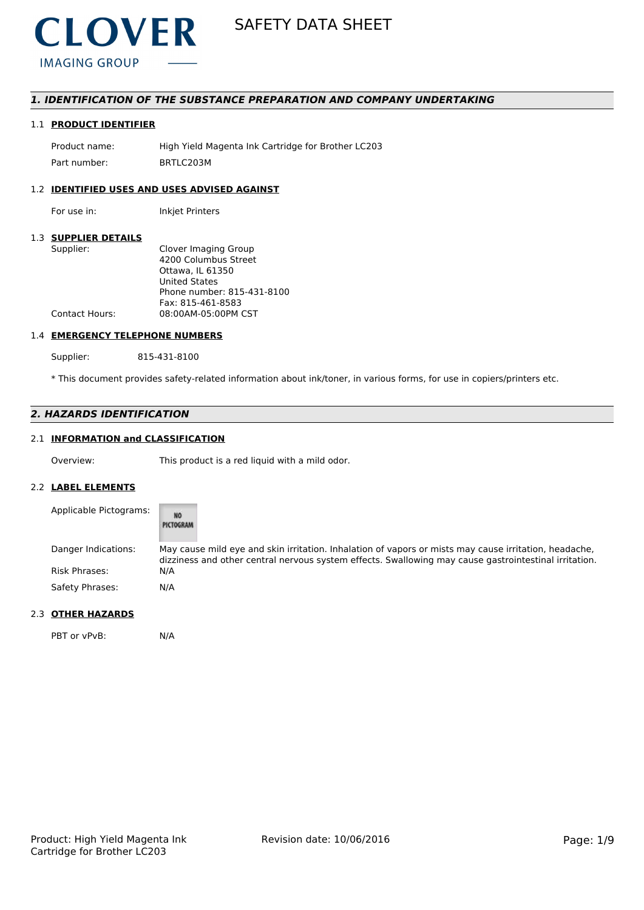

# *1. IDENTIFICATION OF THE SUBSTANCE PREPARATION AND COMPANY UNDERTAKING*

# 1.1 **PRODUCT IDENTIFIER**

Product name: High Yield Magenta Ink Cartridge for Brother LC203 Part number: BRTLC203M

# 1.2 **IDENTIFIED USES AND USES ADVISED AGAINST**

For use in: Inkjet Printers

#### 1.3 **SUPPLIER DETAILS**

| Supplier:             | Clover Imaging Group       |
|-----------------------|----------------------------|
|                       | 4200 Columbus Street       |
|                       | Ottawa. IL 61350           |
|                       | <b>United States</b>       |
|                       | Phone number: 815-431-8100 |
|                       | Fax: 815-461-8583          |
| <b>Contact Hours:</b> | 08:00AM-05:00PM CST        |
|                       |                            |

#### 1.4 **EMERGENCY TELEPHONE NUMBERS**

Supplier: 815-431-8100

\* This document provides safety-related information about ink/toner, in various forms, for use in copiers/printers etc.

# *2. HAZARDS IDENTIFICATION*

# 2.1 **INFORMATION and CLASSIFICATION**

Overview: This product is a red liquid with a mild odor.

#### 2.2 **LABEL ELEMENTS**

| Applicable Pictograms: | <b>NO</b><br>PICTOGRAM                                                                                                                                                                                         |
|------------------------|----------------------------------------------------------------------------------------------------------------------------------------------------------------------------------------------------------------|
| Danger Indications:    | May cause mild eye and skin irritation. Inhalation of vapors or mists may cause irritation, headache,<br>dizziness and other central nervous system effects. Swallowing may cause gastrointestinal irritation. |
| <b>Risk Phrases:</b>   | N/A                                                                                                                                                                                                            |
| Safety Phrases:        | N/A                                                                                                                                                                                                            |

# 2.3 **OTHER HAZARDS**

PBT or vPvB: N/A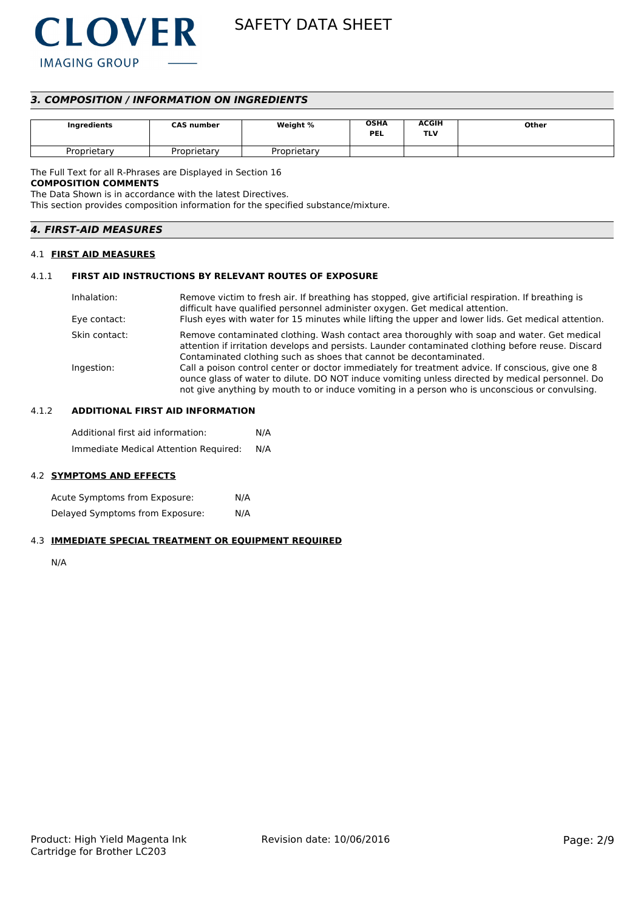

# *3. COMPOSITION / INFORMATION ON INGREDIENTS*

| Ingredients | <b>CAS number</b> | Weight %    | <b>OSHA</b><br><b>PEL</b> | <b>ACGIH</b><br>TLV | Other |
|-------------|-------------------|-------------|---------------------------|---------------------|-------|
| Proprietarv | Proprietary       | Proprietarv |                           |                     |       |

The Full Text for all R-Phrases are Displayed in Section 16

# **COMPOSITION COMMENTS**

The Data Shown is in accordance with the latest Directives.

This section provides composition information for the specified substance/mixture.

| <b>4. FIRST-AID MEASURES</b> |  |
|------------------------------|--|
|                              |  |

### 4.1 **FIRST AID MEASURES**

#### 4.1.1 **FIRST AID INSTRUCTIONS BY RELEVANT ROUTES OF EXPOSURE**

| Inhalation:   | Remove victim to fresh air. If breathing has stopped, give artificial respiration. If breathing is<br>difficult have qualified personnel administer oxygen. Get medical attention.                                                                                                                     |
|---------------|--------------------------------------------------------------------------------------------------------------------------------------------------------------------------------------------------------------------------------------------------------------------------------------------------------|
| Eye contact:  | Flush eyes with water for 15 minutes while lifting the upper and lower lids. Get medical attention.                                                                                                                                                                                                    |
| Skin contact: | Remove contaminated clothing. Wash contact area thoroughly with soap and water. Get medical<br>attention if irritation develops and persists. Launder contaminated clothing before reuse. Discard<br>Contaminated clothing such as shoes that cannot be decontaminated.                                |
| Ingestion:    | Call a poison control center or doctor immediately for treatment advice. If conscious, give one 8<br>ounce glass of water to dilute. DO NOT induce vomiting unless directed by medical personnel. Do<br>not give anything by mouth to or induce vomiting in a person who is unconscious or convulsing. |

# 4.1.2 **ADDITIONAL FIRST AID INFORMATION**

Additional first aid information: N/A Immediate Medical Attention Required: N/A

#### 4.2 **SYMPTOMS AND EFFECTS**

Acute Symptoms from Exposure: N/A Delayed Symptoms from Exposure: N/A

# 4.3 **IMMEDIATE SPECIAL TREATMENT OR EQUIPMENT REQUIRED**

N/A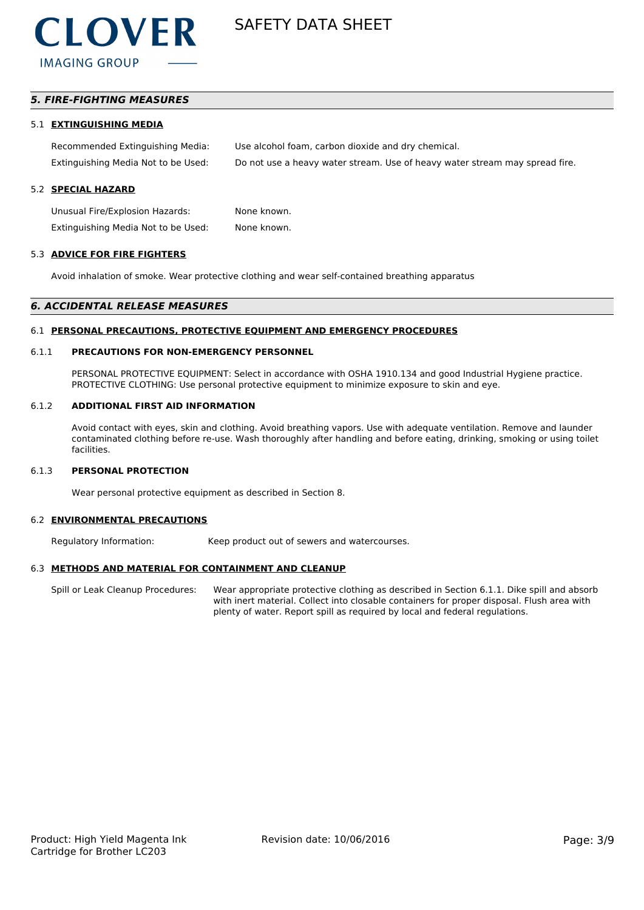

# *5. FIRE-FIGHTING MEASURES*

#### 5.1 **EXTINGUISHING MEDIA**

| Recommended Extinguishing Media:    | Use alcohol foam, carbon dioxide and dry chemical.                          |
|-------------------------------------|-----------------------------------------------------------------------------|
| Extinguishing Media Not to be Used: | Do not use a heavy water stream. Use of heavy water stream may spread fire. |

#### 5.2 **SPECIAL HAZARD**

Unusual Fire/Explosion Hazards: None known. Extinguishing Media Not to be Used: None known.

#### 5.3 **ADVICE FOR FIRE FIGHTERS**

Avoid inhalation of smoke. Wear protective clothing and wear self-contained breathing apparatus

#### *6. ACCIDENTAL RELEASE MEASURES*

#### 6.1 **PERSONAL PRECAUTIONS, PROTECTIVE EQUIPMENT AND EMERGENCY PROCEDURES**

#### 6.1.1 **PRECAUTIONS FOR NON-EMERGENCY PERSONNEL**

PERSONAL PROTECTIVE EQUIPMENT: Select in accordance with OSHA 1910.134 and good Industrial Hygiene practice. PROTECTIVE CLOTHING: Use personal protective equipment to minimize exposure to skin and eye.

#### 6.1.2 **ADDITIONAL FIRST AID INFORMATION**

Avoid contact with eyes, skin and clothing. Avoid breathing vapors. Use with adequate ventilation. Remove and launder contaminated clothing before re-use. Wash thoroughly after handling and before eating, drinking, smoking or using toilet facilities.

#### 6.1.3 **PERSONAL PROTECTION**

Wear personal protective equipment as described in Section 8.

#### 6.2 **ENVIRONMENTAL PRECAUTIONS**

Regulatory Information: Keep product out of sewers and watercourses.

### 6.3 **METHODS AND MATERIAL FOR CONTAINMENT AND CLEANUP**

Spill or Leak Cleanup Procedures: Wear appropriate protective clothing as described in Section 6.1.1. Dike spill and absorb with inert material. Collect into closable containers for proper disposal. Flush area with plenty of water. Report spill as required by local and federal regulations.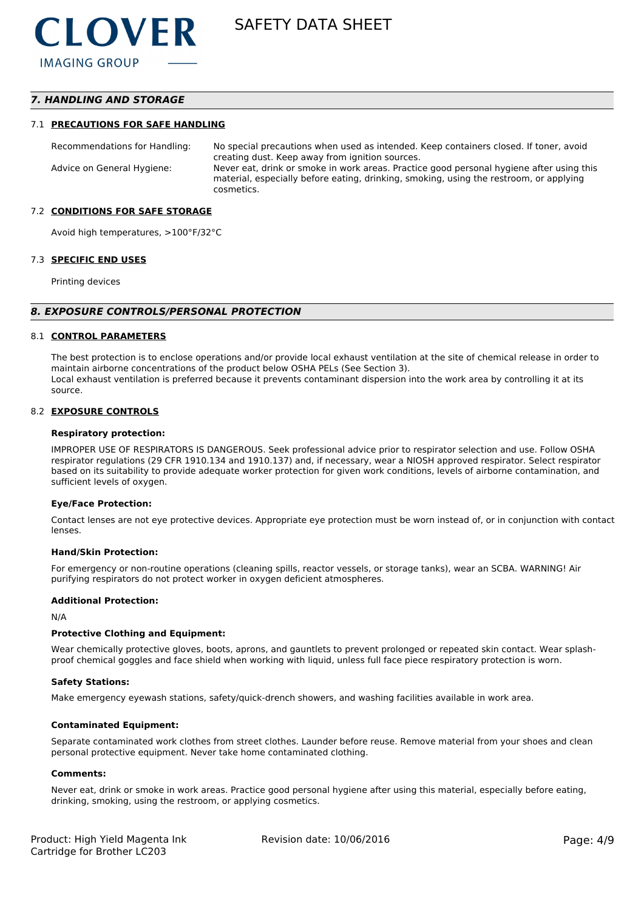# *7. HANDLING AND STORAGE*

#### 7.1 **PRECAUTIONS FOR SAFE HANDLING**

Recommendations for Handling: No special precautions when used as intended. Keep containers closed. If toner, avoid creating dust. Keep away from ignition sources. Advice on General Hygiene: Never eat, drink or smoke in work areas. Practice good personal hygiene after using this material, especially before eating, drinking, smoking, using the restroom, or applying cosmetics.

#### 7.2 **CONDITIONS FOR SAFE STORAGE**

Avoid high temperatures, >100°F/32°C

#### 7.3 **SPECIFIC END USES**

Printing devices

#### *8. EXPOSURE CONTROLS/PERSONAL PROTECTION*

#### 8.1 **CONTROL PARAMETERS**

The best protection is to enclose operations and/or provide local exhaust ventilation at the site of chemical release in order to maintain airborne concentrations of the product below OSHA PELs (See Section 3). Local exhaust ventilation is preferred because it prevents contaminant dispersion into the work area by controlling it at its source.

#### 8.2 **EXPOSURE CONTROLS**

#### **Respiratory protection:**

IMPROPER USE OF RESPIRATORS IS DANGEROUS. Seek professional advice prior to respirator selection and use. Follow OSHA respirator regulations (29 CFR 1910.134 and 1910.137) and, if necessary, wear a NIOSH approved respirator. Select respirator based on its suitability to provide adequate worker protection for given work conditions, levels of airborne contamination, and sufficient levels of oxygen.

#### **Eye/Face Protection:**

Contact lenses are not eye protective devices. Appropriate eye protection must be worn instead of, or in conjunction with contact lenses.

#### **Hand/Skin Protection:**

For emergency or non-routine operations (cleaning spills, reactor vessels, or storage tanks), wear an SCBA. WARNING! Air purifying respirators do not protect worker in oxygen deficient atmospheres.

#### **Additional Protection:**

N/A

#### **Protective Clothing and Equipment:**

Wear chemically protective gloves, boots, aprons, and gauntlets to prevent prolonged or repeated skin contact. Wear splashproof chemical goggles and face shield when working with liquid, unless full face piece respiratory protection is worn.

#### **Safety Stations:**

Make emergency eyewash stations, safety/quick-drench showers, and washing facilities available in work area.

#### **Contaminated Equipment:**

Separate contaminated work clothes from street clothes. Launder before reuse. Remove material from your shoes and clean personal protective equipment. Never take home contaminated clothing.

#### **Comments:**

Never eat, drink or smoke in work areas. Practice good personal hygiene after using this material, especially before eating, drinking, smoking, using the restroom, or applying cosmetics.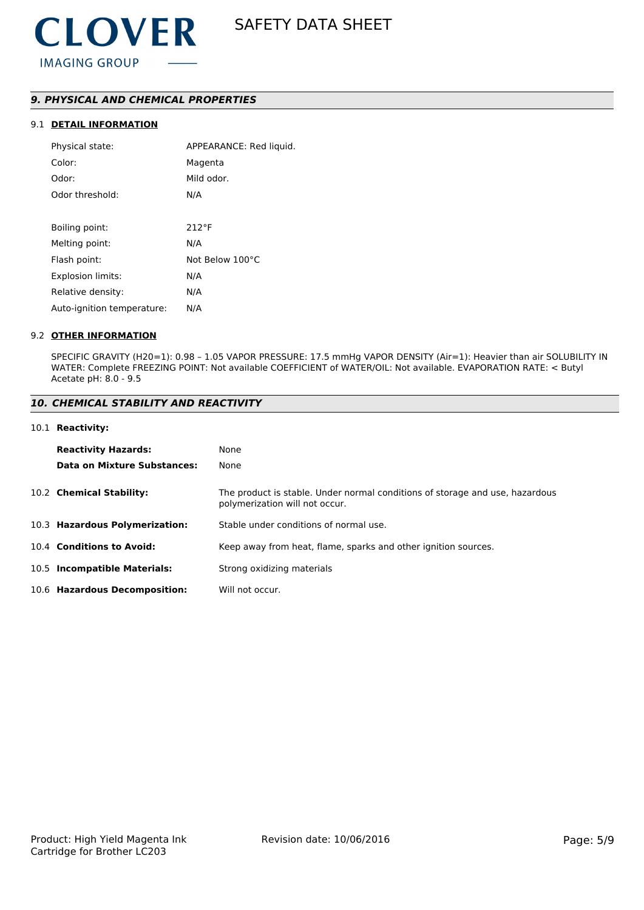# *9. PHYSICAL AND CHEMICAL PROPERTIES*

# 9.1 **DETAIL INFORMATION**

| Physical state:            | APPEARANCE: Red liquid. |
|----------------------------|-------------------------|
| Color:                     | Magenta                 |
| Odor:                      | Mild odor.              |
| Odor threshold:            | N/A                     |
|                            |                         |
| Boiling point:             | $212^{\circ}F$          |
| Melting point:             | N/A                     |
| Flash point:               | Not Below 100°C         |
| <b>Explosion limits:</b>   | N/A                     |
| Relative density:          | N/A                     |
| Auto-ignition temperature: | N/A                     |

#### 9.2 **OTHER INFORMATION**

SPECIFIC GRAVITY (H20=1): 0.98 – 1.05 VAPOR PRESSURE: 17.5 mmHg VAPOR DENSITY (Air=1): Heavier than air SOLUBILITY IN WATER: Complete FREEZING POINT: Not available COEFFICIENT of WATER/OIL: Not available. EVAPORATION RATE: < Butyl Acetate pH: 8.0 - 9.5

### *10. CHEMICAL STABILITY AND REACTIVITY*

#### 10.1 **Reactivity:**

| <b>Reactivity Hazards:</b><br>Data on Mixture Substances: | None<br>None                                                                                                   |
|-----------------------------------------------------------|----------------------------------------------------------------------------------------------------------------|
| 10.2 Chemical Stability:                                  | The product is stable. Under normal conditions of storage and use, hazardous<br>polymerization will not occur. |
| 10.3 Hazardous Polymerization:                            | Stable under conditions of normal use.                                                                         |
| 10.4 Conditions to Avoid:                                 | Keep away from heat, flame, sparks and other ignition sources.                                                 |
| 10.5 Incompatible Materials:                              | Strong oxidizing materials                                                                                     |
| 10.6 Hazardous Decomposition:                             | Will not occur.                                                                                                |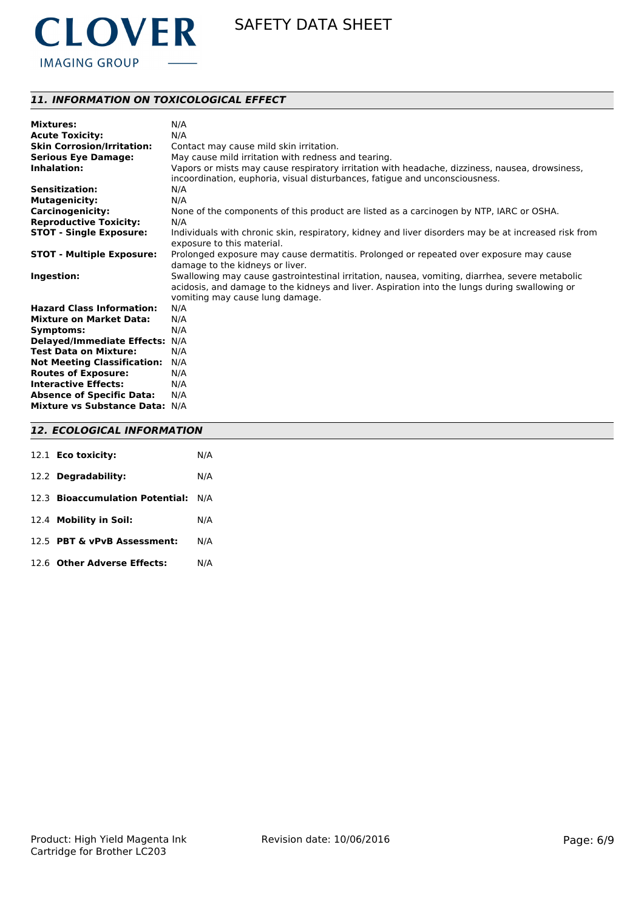

# *11. INFORMATION ON TOXICOLOGICAL EFFECT*

| <b>Mixtures:</b>                   | N/A                                                                                                                                |
|------------------------------------|------------------------------------------------------------------------------------------------------------------------------------|
| <b>Acute Toxicity:</b>             | N/A                                                                                                                                |
| <b>Skin Corrosion/Irritation:</b>  | Contact may cause mild skin irritation.                                                                                            |
| <b>Serious Eye Damage:</b>         | May cause mild irritation with redness and tearing.                                                                                |
| Inhalation:                        | Vapors or mists may cause respiratory irritation with headache, dizziness, nausea, drowsiness,                                     |
|                                    | incoordination, euphoria, visual disturbances, fatique and unconsciousness.                                                        |
| <b>Sensitization:</b>              | N/A                                                                                                                                |
| <b>Mutagenicity:</b>               | N/A                                                                                                                                |
| <b>Carcinogenicity:</b>            | None of the components of this product are listed as a carcinogen by NTP, IARC or OSHA.                                            |
| <b>Reproductive Toxicity:</b>      | N/A                                                                                                                                |
| <b>STOT - Single Exposure:</b>     | Individuals with chronic skin, respiratory, kidney and liver disorders may be at increased risk from<br>exposure to this material. |
|                                    |                                                                                                                                    |
| <b>STOT - Multiple Exposure:</b>   | Prolonged exposure may cause dermatitis. Prolonged or repeated over exposure may cause<br>damage to the kidneys or liver.          |
| Ingestion:                         | Swallowing may cause gastrointestinal irritation, nausea, vomiting, diarrhea, severe metabolic                                     |
|                                    | acidosis, and damage to the kidneys and liver. Aspiration into the lungs during swallowing or                                      |
|                                    | vomiting may cause lung damage.                                                                                                    |
| <b>Hazard Class Information:</b>   | N/A                                                                                                                                |
| <b>Mixture on Market Data:</b>     | N/A                                                                                                                                |
| Symptoms:                          | N/A                                                                                                                                |
| <b>Delayed/Immediate Effects:</b>  | N/A                                                                                                                                |
| <b>Test Data on Mixture:</b>       | N/A                                                                                                                                |
| <b>Not Meeting Classification:</b> | N/A                                                                                                                                |
| <b>Routes of Exposure:</b>         | N/A                                                                                                                                |
| <b>Interactive Effects:</b>        | N/A                                                                                                                                |
| <b>Absence of Specific Data:</b>   | N/A                                                                                                                                |
| Mixture vs Substance Data: N/A     |                                                                                                                                    |

# *12. ECOLOGICAL INFORMATION*

| 12.1 <b>Eco toxicity:</b>           | N/A |
|-------------------------------------|-----|
| 12.2 Degradability:                 | N/A |
| 12.3 Bioaccumulation Potential: N/A |     |
| 12.4 Mobility in Soil:              | N/A |
| 12.5 PBT & vPvB Assessment:         | N/A |
| 12.6 Other Adverse Effects:         | N/A |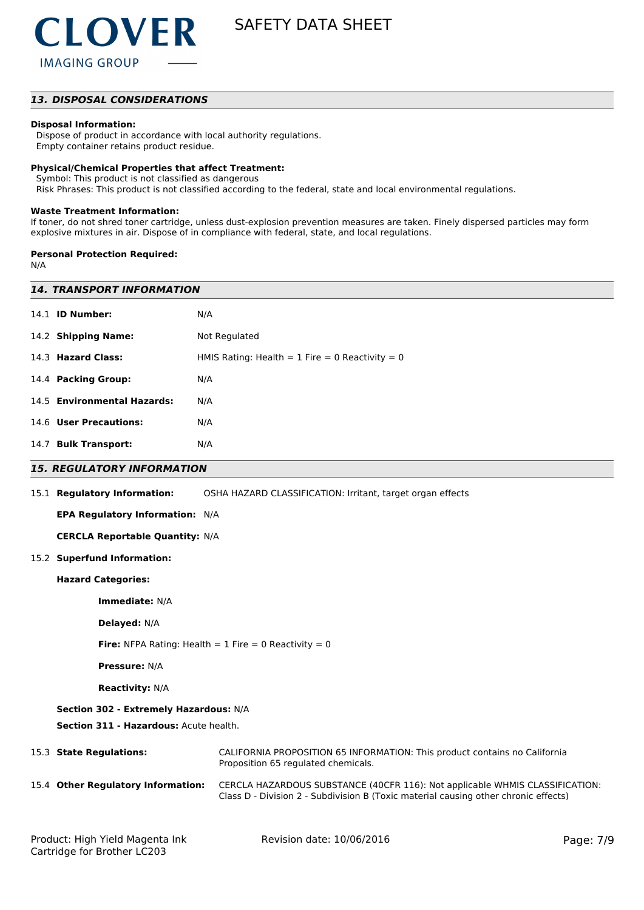

### *13. DISPOSAL CONSIDERATIONS*

### **Disposal Information:**

 Dispose of product in accordance with local authority regulations. Empty container retains product residue.

#### **Physical/Chemical Properties that affect Treatment:**

Symbol: This product is not classified as dangerous

Risk Phrases: This product is not classified according to the federal, state and local environmental regulations.

#### **Waste Treatment Information:**

If toner, do not shred toner cartridge, unless dust-explosion prevention measures are taken. Finely dispersed particles may form explosive mixtures in air. Dispose of in compliance with federal, state, and local regulations.

#### **Personal Protection Required:**

N/A

| <i><b>14. TRANSPORT INFORMATION</b></i> |                                                                                                                                                                     |  |
|-----------------------------------------|---------------------------------------------------------------------------------------------------------------------------------------------------------------------|--|
| 14.1 <b>ID Number:</b>                  | N/A                                                                                                                                                                 |  |
| 14.2 Shipping Name:                     | Not Regulated                                                                                                                                                       |  |
| 14.3 Hazard Class:                      | HMIS Rating: Health = $1$ Fire = 0 Reactivity = 0                                                                                                                   |  |
| 14.4 Packing Group:                     | N/A                                                                                                                                                                 |  |
| 14.5 Environmental Hazards:             | N/A                                                                                                                                                                 |  |
| 14.6 User Precautions:                  | N/A                                                                                                                                                                 |  |
| 14.7 Bulk Transport:                    | N/A                                                                                                                                                                 |  |
| <b>15. REGULATORY INFORMATION</b>       |                                                                                                                                                                     |  |
| 15.1 Regulatory Information:            | OSHA HAZARD CLASSIFICATION: Irritant, target organ effects                                                                                                          |  |
| EPA Regulatory Information: N/A         |                                                                                                                                                                     |  |
| <b>CERCLA Reportable Quantity: N/A</b>  |                                                                                                                                                                     |  |
| 15.2 Superfund Information:             |                                                                                                                                                                     |  |
| <b>Hazard Categories:</b>               |                                                                                                                                                                     |  |
| Immediate: N/A                          |                                                                                                                                                                     |  |
| <b>Delayed: N/A</b>                     |                                                                                                                                                                     |  |
|                                         | <b>Fire:</b> NFPA Rating: Health = 1 Fire = 0 Reactivity = 0                                                                                                        |  |
| <b>Pressure: N/A</b>                    |                                                                                                                                                                     |  |
| <b>Reactivity: N/A</b>                  |                                                                                                                                                                     |  |
| Section 302 - Extremely Hazardous: N/A  |                                                                                                                                                                     |  |
| Section 311 - Hazardous: Acute health.  |                                                                                                                                                                     |  |
| 15.3 State Regulations:                 | CALIFORNIA PROPOSITION 65 INFORMATION: This product contains no California<br>Proposition 65 regulated chemicals.                                                   |  |
| 15.4 Other Regulatory Information:      | CERCLA HAZARDOUS SUBSTANCE (40CFR 116): Not applicable WHMIS CLASSIFICATION:<br>Class D - Division 2 - Subdivision B (Toxic material causing other chronic effects) |  |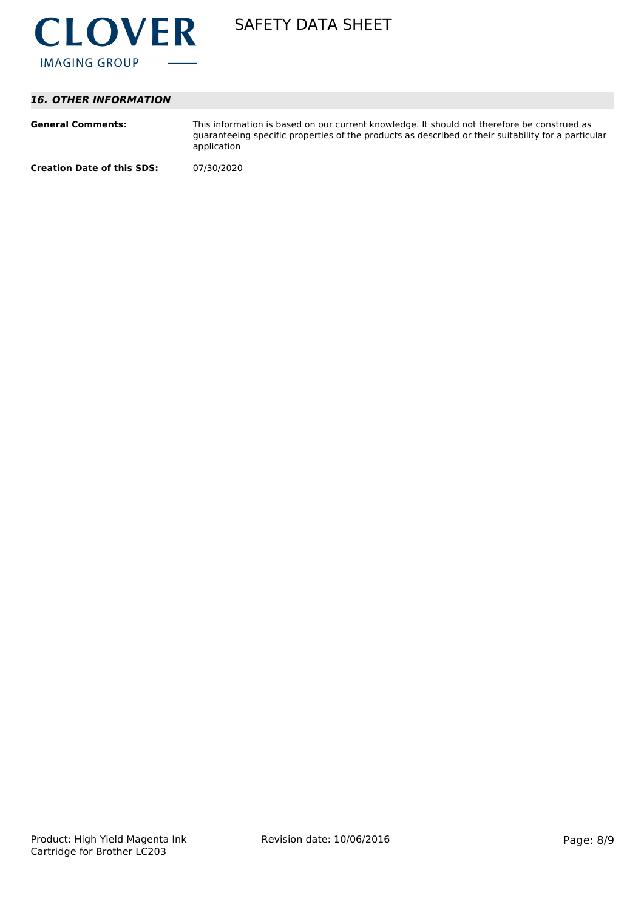

# *16. OTHER INFORMATION*

| <b>General Comments:</b>          | This information is based on our current knowledge. It should not therefore be construed as<br>guaranteeing specific properties of the products as described or their suitability for a particular<br>application |
|-----------------------------------|-------------------------------------------------------------------------------------------------------------------------------------------------------------------------------------------------------------------|
| <b>Creation Date of this SDS:</b> | 07/30/2020                                                                                                                                                                                                        |